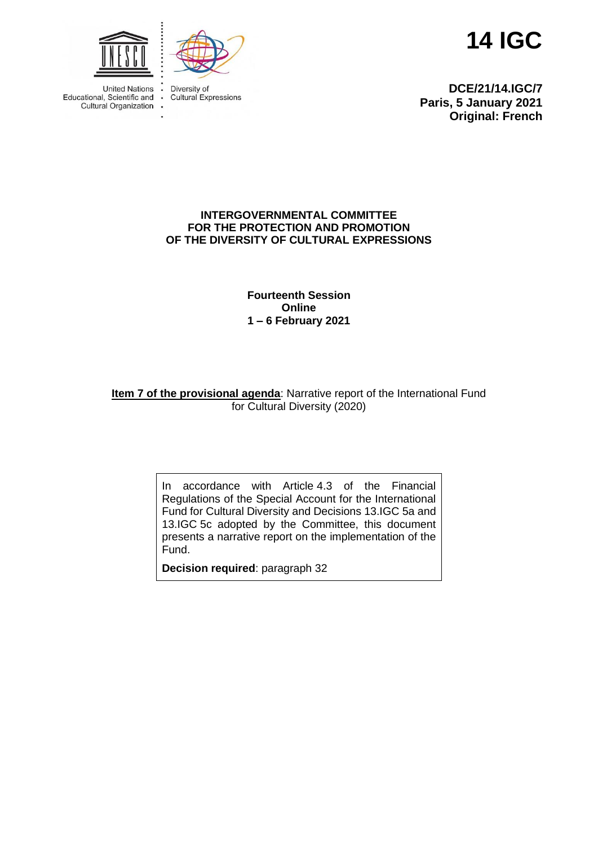



**Cultural Expressions** 

**United Nations** Educational, Scientific and<br>Cultural Organization **14 IGC**

**DCE/21/14.IGC/7 Paris, 5 January 2021 Original: French**

#### **INTERGOVERNMENTAL COMMITTEE FOR THE PROTECTION AND PROMOTION OF THE DIVERSITY OF CULTURAL EXPRESSIONS**

## **Fourteenth Session Online 1 – 6 February 2021**

# **Item 7 of the provisional agenda:** Narrative report of the International Fund for Cultural Diversity (2020)

In accordance with Article 4.3 of the Financial Regulations of the Special Account for the International Fund for Cultural Diversity and Decisions 13.IGC 5a and 13.IGC 5c adopted by the Committee, this document presents a narrative report on the implementation of the Fund.

**Decision required**: paragraph 32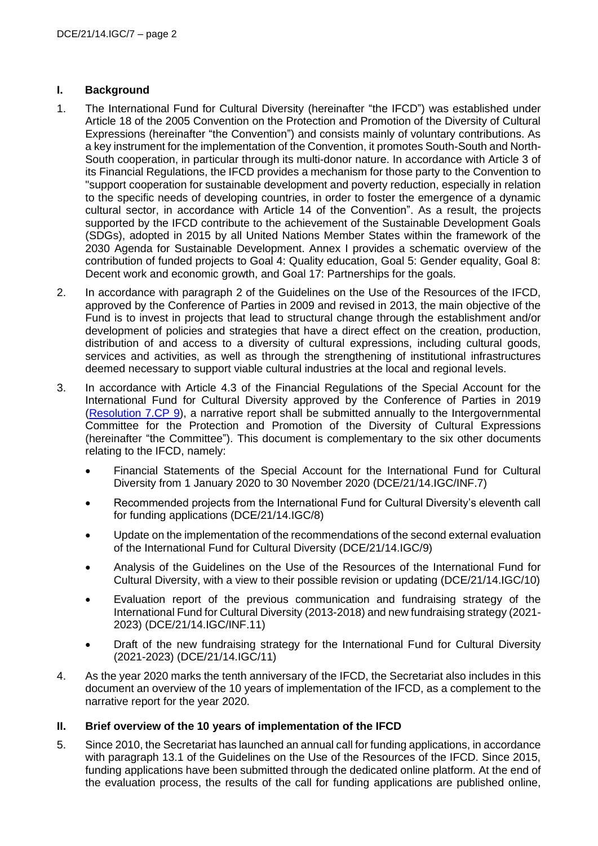#### **I. Background**

- 1. The International Fund for Cultural Diversity (hereinafter "the IFCD") was established under Article 18 of the 2005 Convention on the Protection and Promotion of the Diversity of Cultural Expressions (hereinafter "the Convention") and consists mainly of voluntary contributions. As a key instrument for the implementation of the Convention, it promotes South-South and North-South cooperation, in particular through its multi-donor nature. In accordance with Article 3 of its Financial Regulations, the IFCD provides a mechanism for those party to the Convention to "support cooperation for sustainable development and poverty reduction, especially in relation to the specific needs of developing countries, in order to foster the emergence of a dynamic cultural sector, in accordance with Article 14 of the Convention". As a result, the projects supported by the IFCD contribute to the achievement of the Sustainable Development Goals (SDGs), adopted in 2015 by all United Nations Member States within the framework of the 2030 Agenda for Sustainable Development. Annex I provides a schematic overview of the contribution of funded projects to Goal 4: Quality education, Goal 5: Gender equality, Goal 8: Decent work and economic growth, and Goal 17: Partnerships for the goals.
- 2. In accordance with paragraph 2 of the Guidelines on the Use of the Resources of the IFCD, approved by the Conference of Parties in 2009 and revised in 2013, the main objective of the Fund is to invest in projects that lead to structural change through the establishment and/or development of policies and strategies that have a direct effect on the creation, production, distribution of and access to a diversity of cultural expressions, including cultural goods, services and activities, as well as through the strengthening of institutional infrastructures deemed necessary to support viable cultural industries at the local and regional levels.
- 3. In accordance with Article 4.3 of the Financial Regulations of the Special Account for the International Fund for Cultural Diversity approved by the Conference of Parties in 2019 [\(Resolution 7.CP 9\)](https://en.unesco.org/creativity/sites/creativity/files/sessions/7cp_resolutions_en.pdf), a narrative report shall be submitted annually to the Intergovernmental Committee for the Protection and Promotion of the Diversity of Cultural Expressions (hereinafter "the Committee"). This document is complementary to the six other documents relating to the IFCD, namely:
	- Financial Statements of the Special Account for the International Fund for Cultural Diversity from 1 January 2020 to 30 November 2020 (DCE/21/14.IGC/INF.7)
	- Recommended projects from the International Fund for Cultural Diversity's eleventh call for funding applications (DCE/21/14.IGC/8)
	- Update on the implementation of the recommendations of the second external evaluation of the International Fund for Cultural Diversity (DCE/21/14.IGC/9)
	- Analysis of the Guidelines on the Use of the Resources of the International Fund for Cultural Diversity, with a view to their possible revision or updating (DCE/21/14.IGC/10)
	- Evaluation report of the previous communication and fundraising strategy of the International Fund for Cultural Diversity (2013-2018) and new fundraising strategy (2021- 2023) (DCE/21/14.IGC/INF.11)
	- Draft of the new fundraising strategy for the International Fund for Cultural Diversity (2021-2023) (DCE/21/14.IGC/11)
- 4. As the year 2020 marks the tenth anniversary of the IFCD, the Secretariat also includes in this document an overview of the 10 years of implementation of the IFCD, as a complement to the narrative report for the year 2020.

# **II. Brief overview of the 10 years of implementation of the IFCD**

5. Since 2010, the Secretariat has launched an annual call for funding applications, in accordance with paragraph 13.1 of the Guidelines on the Use of the Resources of the IFCD. Since 2015, funding applications have been submitted through the dedicated online platform. At the end of the evaluation process, the results of the call for funding applications are published online,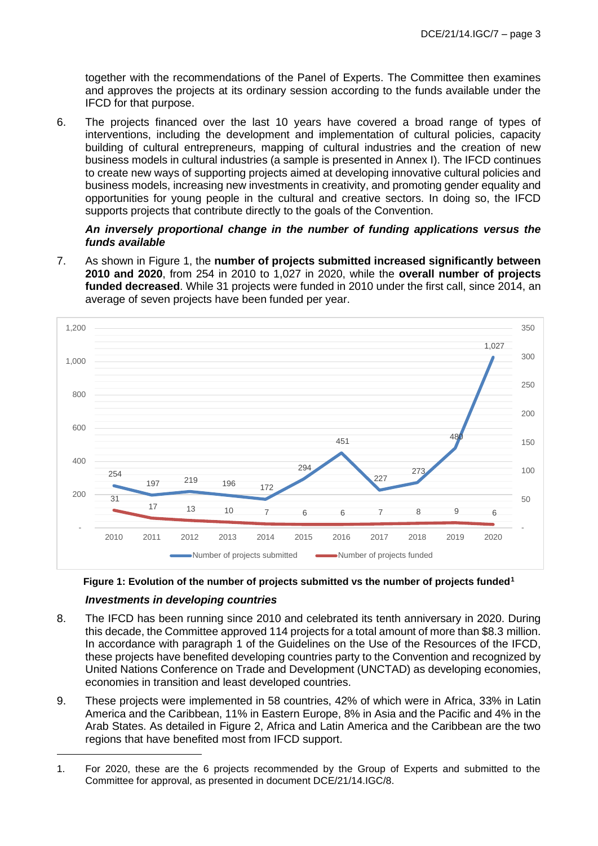together with the recommendations of the Panel of Experts. The Committee then examines and approves the projects at its ordinary session according to the funds available under the IFCD for that purpose.

6. The projects financed over the last 10 years have covered a broad range of types of interventions, including the development and implementation of cultural policies, capacity building of cultural entrepreneurs, mapping of cultural industries and the creation of new business models in cultural industries (a sample is presented in Annex I). The IFCD continues to create new ways of supporting projects aimed at developing innovative cultural policies and business models, increasing new investments in creativity, and promoting gender equality and opportunities for young people in the cultural and creative sectors. In doing so, the IFCD supports projects that contribute directly to the goals of the Convention.

#### *An inversely proportional change in the number of funding applications versus the funds available*

7. As shown in Figure 1, the **number of projects submitted increased significantly between 2010 and 2020**, from 254 in 2010 to 1,027 in 2020, while the **overall number of projects funded decreased**. While 31 projects were funded in 2010 under the first call, since 2014, an average of seven projects have been funded per year.





- 8. The IFCD has been running since 2010 and celebrated its tenth anniversary in 2020. During this decade, the Committee approved 114 projects for a total amount of more than \$8.3 million. In accordance with paragraph 1 of the Guidelines on the Use of the Resources of the IFCD, these projects have benefited developing countries party to the Convention and recognized by United Nations Conference on Trade and Development (UNCTAD) as developing economies, economies in transition and least developed countries.
- 9. These projects were implemented in 58 countries, 42% of which were in Africa, 33% in Latin America and the Caribbean, 11% in Eastern Europe, 8% in Asia and the Pacific and 4% in the Arab States. As detailed in Figure 2, Africa and Latin America and the Caribbean are the two regions that have benefited most from IFCD support.

<sup>1.</sup> For 2020, these are the 6 projects recommended by the Group of Experts and submitted to the Committee for approval, as presented in document DCE/21/14.IGC/8.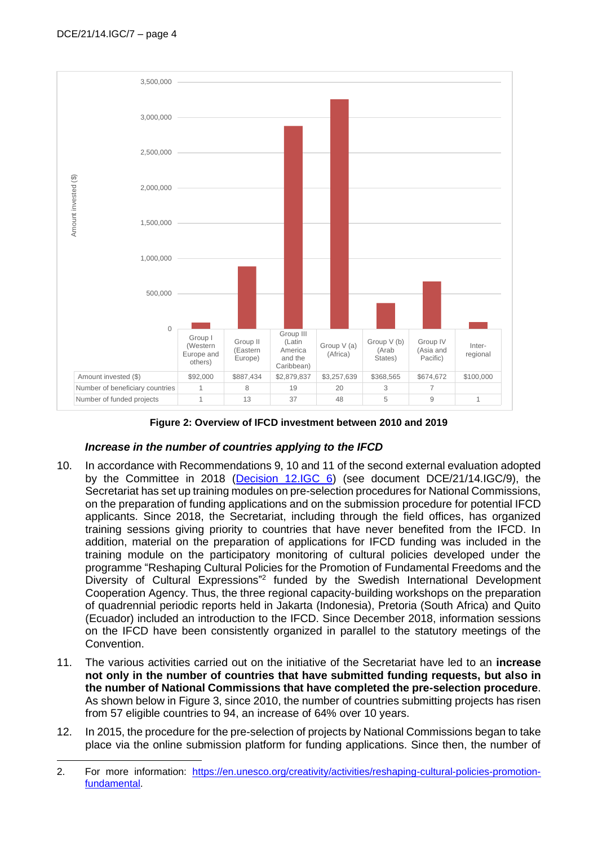

**Figure 2: Overview of IFCD investment between 2010 and 2019**

# *Increase in the number of countries applying to the IFCD*

- 10. In accordance with Recommendations 9, 10 and 11 of the second external evaluation adopted by the Committee in 2018 [\(Decision 12.IGC 6\)](https://en.unesco.org/creativity/sites/creativity/files/12igc_decisions_en.pdf) (see document DCE/21/14.IGC/9), the Secretariat has set up training modules on pre-selection procedures for National Commissions, on the preparation of funding applications and on the submission procedure for potential IFCD applicants. Since 2018, the Secretariat, including through the field offices, has organized training sessions giving priority to countries that have never benefited from the IFCD. In addition, material on the preparation of applications for IFCD funding was included in the training module on the participatory monitoring of cultural policies developed under the programme "Reshaping Cultural Policies for the Promotion of Fundamental Freedoms and the Diversity of Cultural Expressions"<sup>2</sup> funded by the Swedish International Development Cooperation Agency. Thus, the three regional capacity-building workshops on the preparation of quadrennial periodic reports held in Jakarta (Indonesia), Pretoria (South Africa) and Quito (Ecuador) included an introduction to the IFCD. Since December 2018, information sessions on the IFCD have been consistently organized in parallel to the statutory meetings of the Convention.
- 11. The various activities carried out on the initiative of the Secretariat have led to an **increase not only in the number of countries that have submitted funding requests, but also in the number of National Commissions that have completed the pre-selection procedure**. As shown below in Figure 3, since 2010, the number of countries submitting projects has risen from 57 eligible countries to 94, an increase of 64% over 10 years.
- 12. In 2015, the procedure for the pre-selection of projects by National Commissions began to take place via the online submission platform for funding applications. Since then, the number of

<sup>2.</sup> For more information: [https://en.unesco.org/creativity/activities/reshaping-cultural-policies-promotion](https://en.unesco.org/creativity/activities/reshaping-cultural-policies-promotion-fundamental)[fundamental.](https://en.unesco.org/creativity/activities/reshaping-cultural-policies-promotion-fundamental)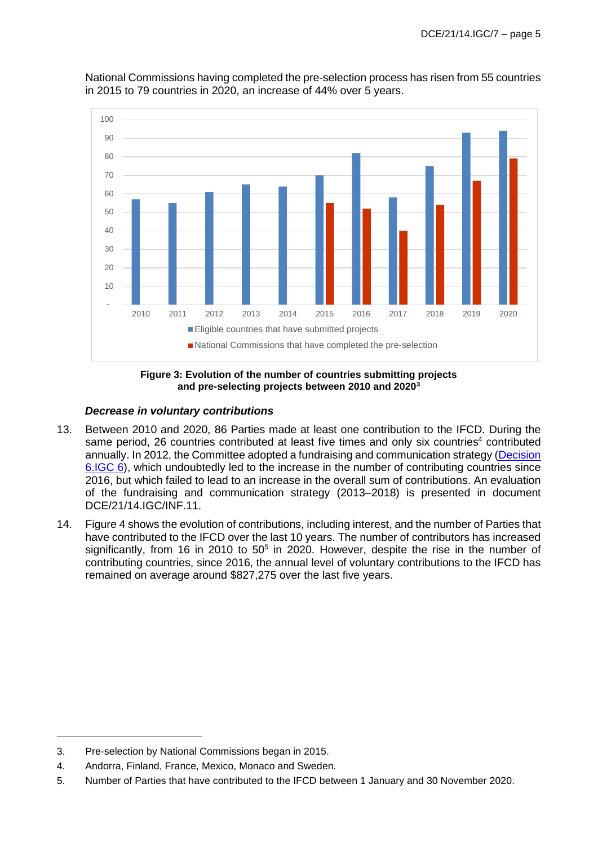

National Commissions having completed the pre-selection process has risen from 55 countries in 2015 to 79 countries in 2020, an increase of 44% over 5 years.

**Figure 3: Evolution of the number of countries submitting projects and pre-selecting projects between 2010 and 2020<sup>3</sup>**

## *Decrease in voluntary contributions*

- 13. Between 2010 and 2020, 86 Parties made at least one contribution to the IFCD. During the same period, 26 countries contributed at least five times and only six countries<sup>4</sup> contributed annually. In 2012, the Committee adopted a fundraising and communication strategy [\(Decision](https://en.unesco.org/creativity/sites/creativity/files/sessions/221094e.pdf)  [6.IGC 6\)](https://en.unesco.org/creativity/sites/creativity/files/sessions/221094e.pdf), which undoubtedly led to the increase in the number of contributing countries since 2016, but which failed to lead to an increase in the overall sum of contributions. An evaluation of the fundraising and communication strategy (2013–2018) is presented in document DCE/21/14.IGC/INF.11.
- 14. Figure 4 shows the evolution of contributions, including interest, and the number of Parties that have contributed to the IFCD over the last 10 years. The number of contributors has increased significantly, from 16 in 2010 to  $50<sup>5</sup>$  in 2020. However, despite the rise in the number of contributing countries, since 2016, the annual level of voluntary contributions to the IFCD has remained on average around \$827,275 over the last five years.

<sup>3.</sup> Pre-selection by National Commissions began in 2015.

<sup>4.</sup> Andorra, Finland, France, Mexico, Monaco and Sweden.

<sup>5.</sup> Number of Parties that have contributed to the IFCD between 1 January and 30 November 2020.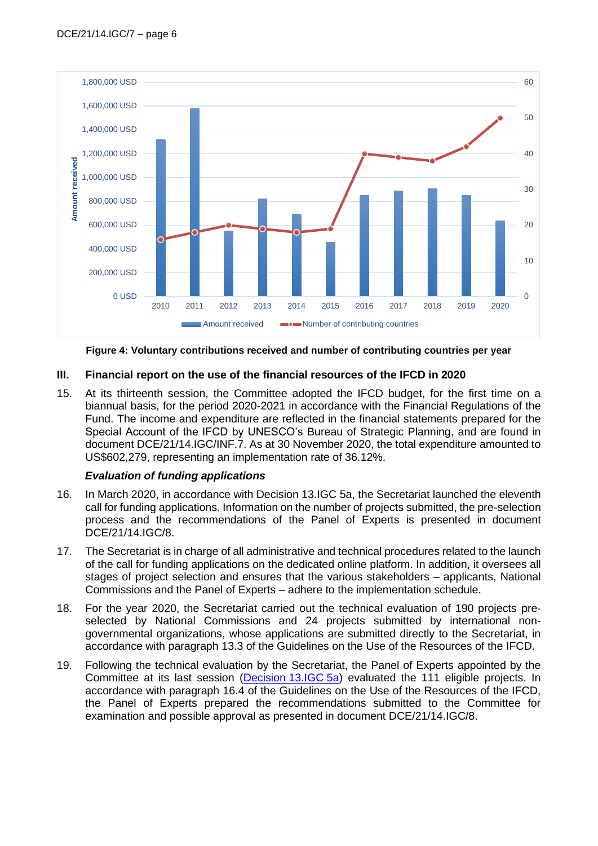

**Figure 4: Voluntary contributions received and number of contributing countries per year**

#### **III. Financial report on the use of the financial resources of the IFCD in 2020**

15. At its thirteenth session, the Committee adopted the IFCD budget, for the first time on a biannual basis, for the period 2020-2021 in accordance with the Financial Regulations of the Fund. The income and expenditure are reflected in the financial statements prepared for the Special Account of the IFCD by UNESCO's Bureau of Strategic Planning, and are found in document DCE/21/14.IGC/INF.7. As at 30 November 2020, the total expenditure amounted to US\$602,279, representing an implementation rate of 36.12%.

#### *Evaluation of funding applications*

- 16. In March 2020, in accordance with Decision 13.IGC 5a, the Secretariat launched the eleventh call for funding applications. Information on the number of projects submitted, the pre-selection process and the recommendations of the Panel of Experts is presented in document DCE/21/14.IGC/8.
- 17. The Secretariat is in charge of all administrative and technical procedures related to the launch of the call for funding applications on the dedicated online platform. In addition, it oversees all stages of project selection and ensures that the various stakeholders – applicants, National Commissions and the Panel of Experts – adhere to the implementation schedule.
- 18. For the year 2020, the Secretariat carried out the technical evaluation of 190 projects preselected by National Commissions and 24 projects submitted by international nongovernmental organizations, whose applications are submitted directly to the Secretariat, in accordance with paragraph 13.3 of the Guidelines on the Use of the Resources of the IFCD.
- 19. Following the technical evaluation by the Secretariat, the Panel of Experts appointed by the Committee at its last session [\(Decision](https://en.unesco.org/creativity/sites/creativity/files/sessions/13igc_decisions_en.pdf) 13.IGC 5a) evaluated the 111 eligible projects. In accordance with paragraph 16.4 of the Guidelines on the Use of the Resources of the IFCD, the Panel of Experts prepared the recommendations submitted to the Committee for examination and possible approval as presented in document DCE/21/14.IGC/8.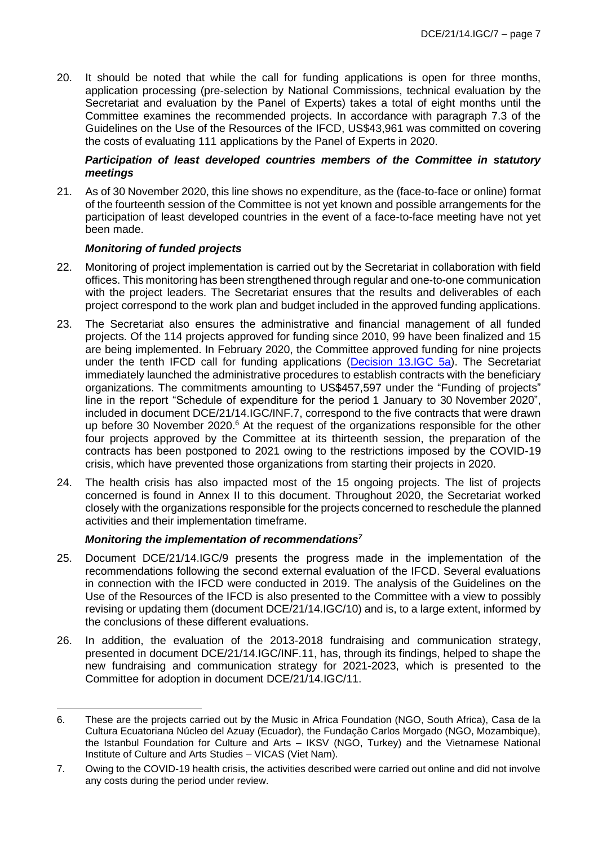20. It should be noted that while the call for funding applications is open for three months, application processing (pre-selection by National Commissions, technical evaluation by the Secretariat and evaluation by the Panel of Experts) takes a total of eight months until the Committee examines the recommended projects. In accordance with paragraph 7.3 of the Guidelines on the Use of the Resources of the IFCD, US\$43,961 was committed on covering the costs of evaluating 111 applications by the Panel of Experts in 2020.

#### *Participation of least developed countries members of the Committee in statutory meetings*

21. As of 30 November 2020, this line shows no expenditure, as the (face-to-face or online) format of the fourteenth session of the Committee is not yet known and possible arrangements for the participation of least developed countries in the event of a face-to-face meeting have not yet been made.

#### *Monitoring of funded projects*

- 22. Monitoring of project implementation is carried out by the Secretariat in collaboration with field offices. This monitoring has been strengthened through regular and one-to-one communication with the project leaders. The Secretariat ensures that the results and deliverables of each project correspond to the work plan and budget included in the approved funding applications.
- 23. The Secretariat also ensures the administrative and financial management of all funded projects. Of the 114 projects approved for funding since 2010, 99 have been finalized and 15 are being implemented. In February 2020, the Committee approved funding for nine projects under the tenth IFCD call for funding applications [\(Decision 13.IGC 5a\)](https://en.unesco.org/creativity/sites/creativity/files/sessions/13igc_decisions_en.pdf). The Secretariat immediately launched the administrative procedures to establish contracts with the beneficiary organizations. The commitments amounting to US\$457,597 under the "Funding of projects" line in the report "Schedule of expenditure for the period 1 January to 30 November 2020", included in document DCE/21/14.IGC/INF.7, correspond to the five contracts that were drawn up before 30 November 2020.<sup>6</sup> At the request of the organizations responsible for the other four projects approved by the Committee at its thirteenth session, the preparation of the contracts has been postponed to 2021 owing to the restrictions imposed by the COVID-19 crisis, which have prevented those organizations from starting their projects in 2020.
- 24. The health crisis has also impacted most of the 15 ongoing projects. The list of projects concerned is found in Annex II to this document. Throughout 2020, the Secretariat worked closely with the organizations responsible for the projects concerned to reschedule the planned activities and their implementation timeframe.

#### *Monitoring the implementation of recommendations<sup>7</sup>*

- 25. Document DCE/21/14.IGC/9 presents the progress made in the implementation of the recommendations following the second external evaluation of the IFCD. Several evaluations in connection with the IFCD were conducted in 2019. The analysis of the Guidelines on the Use of the Resources of the IFCD is also presented to the Committee with a view to possibly revising or updating them (document DCE/21/14.IGC/10) and is, to a large extent, informed by the conclusions of these different evaluations.
- 26. In addition, the evaluation of the 2013-2018 fundraising and communication strategy, presented in document DCE/21/14.IGC/INF.11, has, through its findings, helped to shape the new fundraising and communication strategy for 2021-2023, which is presented to the Committee for adoption in document DCE/21/14.IGC/11.

<sup>6.</sup> These are the projects carried out by the Music in Africa Foundation (NGO, South Africa), Casa de la Cultura Ecuatoriana Núcleo del Azuay (Ecuador), the Fundação Carlos Morgado (NGO, Mozambique), the Istanbul Foundation for Culture and Arts – IKSV (NGO, Turkey) and the Vietnamese National Institute of Culture and Arts Studies – VICAS (Viet Nam).

<sup>7.</sup> Owing to the COVID-19 health crisis, the activities described were carried out online and did not involve any costs during the period under review.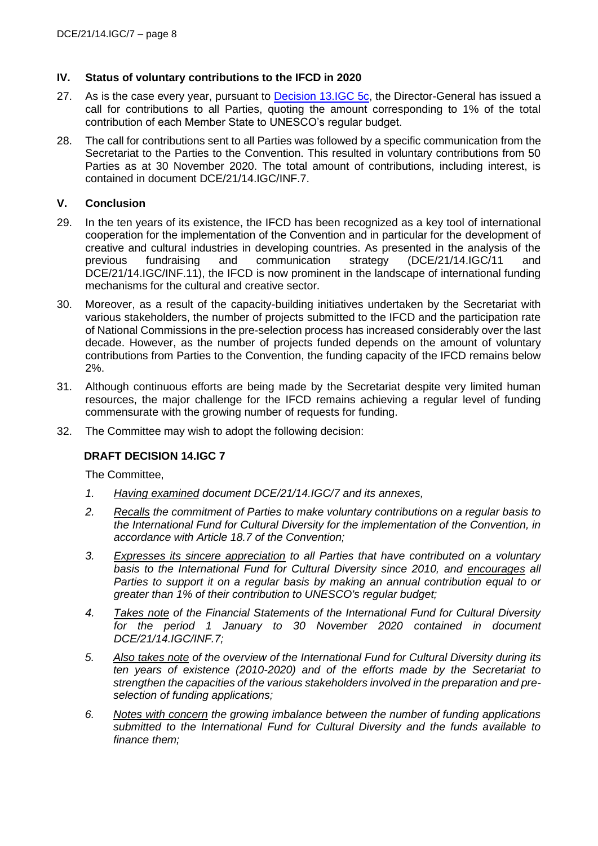#### **IV. Status of voluntary contributions to the IFCD in 2020**

- 27. As is the case every year, pursuant to **Decision 13.IGC 5c**, the Director-General has issued a call for contributions to all Parties, quoting the amount corresponding to 1% of the total contribution of each Member State to UNESCO's regular budget.
- 28. The call for contributions sent to all Parties was followed by a specific communication from the Secretariat to the Parties to the Convention. This resulted in voluntary contributions from 50 Parties as at 30 November 2020. The total amount of contributions, including interest, is contained in document DCE/21/14.IGC/INF.7.

#### **V. Conclusion**

- 29. In the ten years of its existence, the IFCD has been recognized as a key tool of international cooperation for the implementation of the Convention and in particular for the development of creative and cultural industries in developing countries. As presented in the analysis of the previous fundraising and communication strategy (DCE/21/14.IGC/11 and DCE/21/14.IGC/INF.11), the IFCD is now prominent in the landscape of international funding mechanisms for the cultural and creative sector.
- 30. Moreover, as a result of the capacity-building initiatives undertaken by the Secretariat with various stakeholders, the number of projects submitted to the IFCD and the participation rate of National Commissions in the pre-selection process has increased considerably over the last decade. However, as the number of projects funded depends on the amount of voluntary contributions from Parties to the Convention, the funding capacity of the IFCD remains below 2%.
- 31. Although continuous efforts are being made by the Secretariat despite very limited human resources, the major challenge for the IFCD remains achieving a regular level of funding commensurate with the growing number of requests for funding.
- 32. The Committee may wish to adopt the following decision:

#### **DRAFT DECISION 14.IGC 7**

The Committee,

- *1. Having examined document DCE/21/14.IGC/7 and its annexes,*
- *2. Recalls the commitment of Parties to make voluntary contributions on a regular basis to the International Fund for Cultural Diversity for the implementation of the Convention, in accordance with Article 18.7 of the Convention;*
- *3. Expresses its sincere appreciation to all Parties that have contributed on a voluntary basis to the International Fund for Cultural Diversity since 2010, and encourages all Parties to support it on a regular basis by making an annual contribution equal to or greater than 1% of their contribution to UNESCO's regular budget;*
- *4. Takes note of the Financial Statements of the International Fund for Cultural Diversity for the period 1 January to 30 November 2020 contained in document DCE/21/14.IGC/INF.7;*
- *5. Also takes note of the overview of the International Fund for Cultural Diversity during its ten years of existence (2010-2020) and of the efforts made by the Secretariat to strengthen the capacities of the various stakeholders involved in the preparation and preselection of funding applications;*
- *6. Notes with concern the growing imbalance between the number of funding applications submitted to the International Fund for Cultural Diversity and the funds available to finance them;*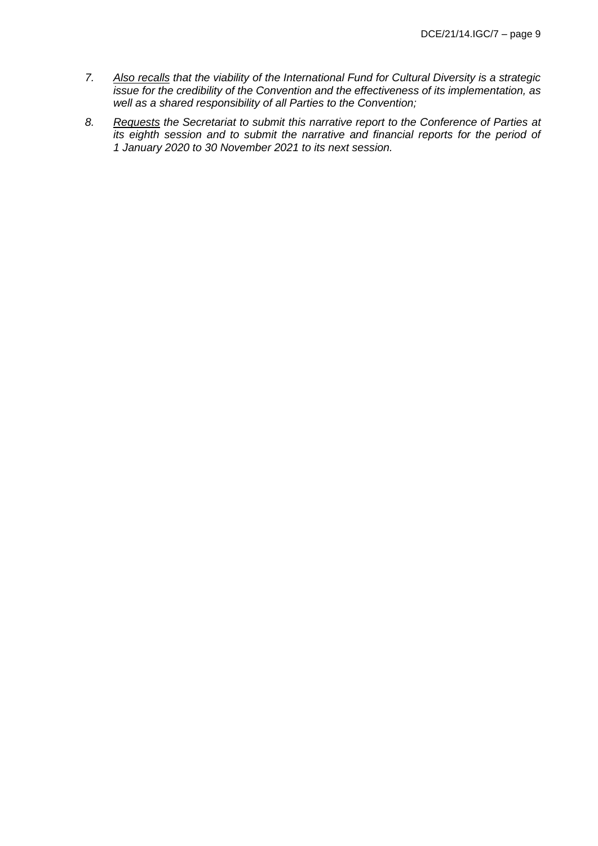- *7. Also recalls that the viability of the International Fund for Cultural Diversity is a strategic issue for the credibility of the Convention and the effectiveness of its implementation, as well as a shared responsibility of all Parties to the Convention;*
- *8. Requests the Secretariat to submit this narrative report to the Conference of Parties at its eighth session and to submit the narrative and financial reports for the period of 1 January 2020 to 30 November 2021 to its next session.*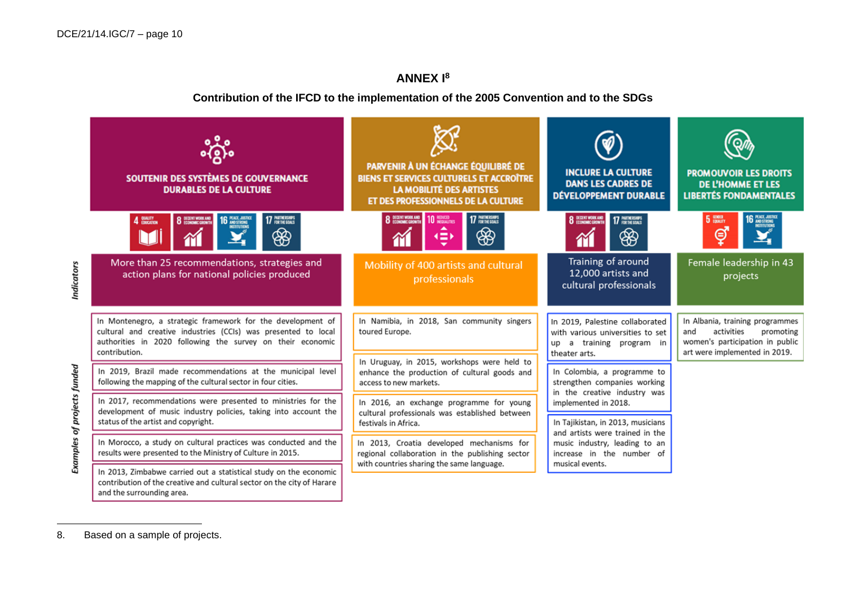# **ANNEX I<sup>8</sup>**

#### **Contribution of the IFCD to the implementation of the 2005 Convention and to the SDGs**



<sup>8.</sup> Based on a sample of projects.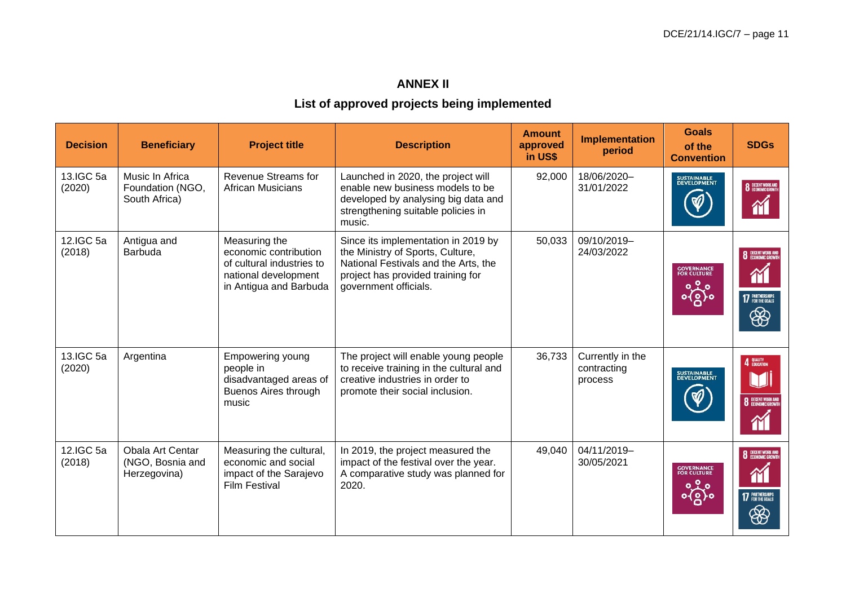# **ANNEX II**

# **List of approved projects being implemented**

| <b>Decision</b>     | <b>Beneficiary</b>                                   | <b>Project title</b>                                                                                                  | <b>Description</b>                                                                                                                                                            | <b>Amount</b><br>approved<br>in US\$ | <b>Implementation</b><br>period            | <b>Goals</b><br>of the<br><b>Convention</b> | <b>SDGs</b>                                                           |
|---------------------|------------------------------------------------------|-----------------------------------------------------------------------------------------------------------------------|-------------------------------------------------------------------------------------------------------------------------------------------------------------------------------|--------------------------------------|--------------------------------------------|---------------------------------------------|-----------------------------------------------------------------------|
| 13.IGC 5a<br>(2020) | Music In Africa<br>Foundation (NGO,<br>South Africa) | Revenue Streams for<br><b>African Musicians</b>                                                                       | Launched in 2020, the project will<br>enable new business models to be<br>developed by analysing big data and<br>strengthening suitable policies in<br>music.                 | 92,000                               | 18/06/2020-<br>31/01/2022                  | SUSTAINABLE<br>DEVELOPMENT                  | 8 DECENT WORK AND                                                     |
| 12.IGC 5a<br>(2018) | Antigua and<br><b>Barbuda</b>                        | Measuring the<br>economic contribution<br>of cultural industries to<br>national development<br>in Antigua and Barbuda | Since its implementation in 2019 by<br>the Ministry of Sports, Culture,<br>National Festivals and the Arts, the<br>project has provided training for<br>government officials. | 50,033                               | 09/10/2019-<br>24/03/2022                  | <b>GOVERNANCE</b><br>FOR CULTURE<br>တို့    | <b>8</b> DECENT WORK AND<br>m<br><b>17 PARTNERSHIPS</b><br>❀          |
| 13.IGC 5a<br>(2020) | Argentina                                            | Empowering young<br>people in<br>disadvantaged areas of<br>Buenos Aires through<br>music                              | The project will enable young people<br>to receive training in the cultural and<br>creative industries in order to<br>promote their social inclusion.                         | 36,733                               | Currently in the<br>contracting<br>process | SUSTAINABLE<br>DEVELOPMENT                  | 4 QUALITY<br><b>8</b> DECENT WORK AND                                 |
| 12.IGC 5a<br>(2018) | Obala Art Centar<br>(NGO, Bosnia and<br>Herzegovina) | Measuring the cultural,<br>economic and social<br>impact of the Sarajevo<br><b>Film Festival</b>                      | In 2019, the project measured the<br>impact of the festival over the year.<br>A comparative study was planned for<br>2020.                                                    | 49,040                               | 04/11/2019-<br>30/05/2021                  | <b>GOVERNANCE</b><br>FOR CULTURE<br>တို့    | <b>8</b> DECENT WORK AND<br>$\Upsilon$<br><b>17 PARTNERSHIPS</b><br>❀ |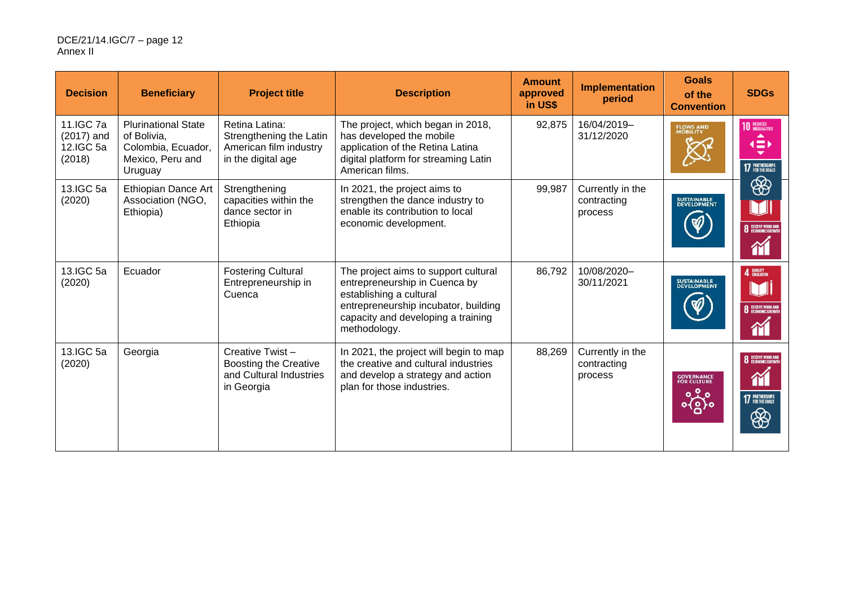| <b>Decision</b>                                  | <b>Beneficiary</b>                                                                             | <b>Project title</b>                                                                      | <b>Description</b>                                                                                                                                                                             | <b>Amount</b><br>approved<br>in US\$ | Implementation<br>period                   | <b>Goals</b><br>of the<br><b>Convention</b> | <b>SDGs</b>                                                         |
|--------------------------------------------------|------------------------------------------------------------------------------------------------|-------------------------------------------------------------------------------------------|------------------------------------------------------------------------------------------------------------------------------------------------------------------------------------------------|--------------------------------------|--------------------------------------------|---------------------------------------------|---------------------------------------------------------------------|
| 11.IGC 7a<br>$(2017)$ and<br>12.IGC 5a<br>(2018) | <b>Plurinational State</b><br>of Bolivia,<br>Colombia, Ecuador,<br>Mexico, Peru and<br>Uruguay | Retina Latina:<br>Strengthening the Latin<br>American film industry<br>in the digital age | The project, which began in 2018,<br>has developed the mobile<br>application of the Retina Latina<br>digital platform for streaming Latin<br>American films.                                   | 92,875                               | 16/04/2019-<br>31/12/2020                  | <b>FLOWS AND</b><br>MOBILITY                | <b>10 REDUCED</b><br>∢≕<br><b>17 PARTNERSHIPS</b>                   |
| 13.IGC 5a<br>(2020)                              | Ethiopian Dance Art<br>Association (NGO,<br>Ethiopia)                                          | Strengthening<br>capacities within the<br>dance sector in<br>Ethiopia                     | In 2021, the project aims to<br>strengthen the dance industry to<br>enable its contribution to local<br>economic development.                                                                  | 99,987                               | Currently in the<br>contracting<br>process | SUSTAINABLE<br>DEVELOPMENT                  | ❀<br><b>8</b> DECENT WORK AND<br>简                                  |
| 13.IGC 5a<br>(2020)                              | Ecuador                                                                                        | <b>Fostering Cultural</b><br>Entrepreneurship in<br>Cuenca                                | The project aims to support cultural<br>entrepreneurship in Cuenca by<br>establishing a cultural<br>entrepreneurship incubator, building<br>capacity and developing a training<br>methodology. | 86,792                               | 10/08/2020-<br>30/11/2021                  | SUSTAINABLE<br>DEVELOPMENT                  | 4 <b>QUALITY</b><br><b>8</b> DECENT WORK AND<br>M                   |
| 13.IGC 5a<br>(2020)                              | Georgia                                                                                        | Creative Twist-<br><b>Boosting the Creative</b><br>and Cultural Industries<br>in Georgia  | In 2021, the project will begin to map<br>the creative and cultural industries<br>and develop a strategy and action<br>plan for those industries.                                              | 88,269                               | Currently in the<br>contracting<br>process | <b>GOVERNANCE</b><br>FOR CULTURE<br>တို့ဝိ  | <b>8</b> DECENT WORK AND<br>$\gamma$<br><b>17</b> PARTNERSHIPS<br>❀ |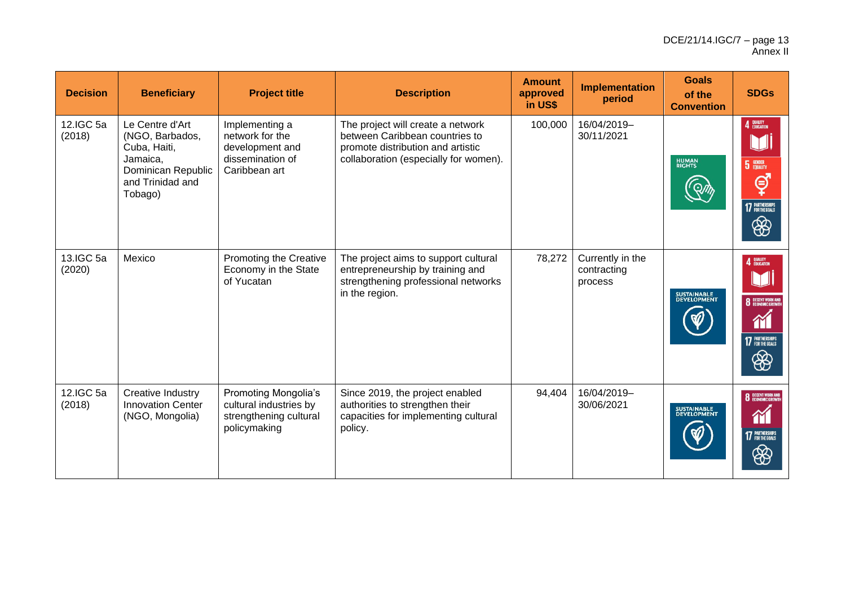| <b>Decision</b>     | <b>Beneficiary</b>                                                                                                  | <b>Project title</b>                                                                            | <b>Description</b>                                                                                                                                | <b>Amount</b><br>approved<br>in US\$ | Implementation<br>period                   | <b>Goals</b><br>of the<br><b>Convention</b> | <b>SDGs</b>                                                                                                       |
|---------------------|---------------------------------------------------------------------------------------------------------------------|-------------------------------------------------------------------------------------------------|---------------------------------------------------------------------------------------------------------------------------------------------------|--------------------------------------|--------------------------------------------|---------------------------------------------|-------------------------------------------------------------------------------------------------------------------|
| 12.IGC 5a<br>(2018) | Le Centre d'Art<br>(NGO, Barbados,<br>Cuba, Haiti,<br>Jamaica,<br>Dominican Republic<br>and Trinidad and<br>Tobago) | Implementing a<br>network for the<br>development and<br>dissemination of<br>Caribbean art       | The project will create a network<br>between Caribbean countries to<br>promote distribution and artistic<br>collaboration (especially for women). | 100,000                              | 16/04/2019-<br>30/11/2021                  | <b>HUMAN</b><br>RIGHTS                      | 4 QUALITY<br>U<br><b>5</b> GENDER<br>ල්<br><b>17 PARTNERSHIPS</b><br>❀                                            |
| 13.IGC 5a<br>(2020) | Mexico                                                                                                              | <b>Promoting the Creative</b><br>Economy in the State<br>of Yucatan                             | The project aims to support cultural<br>entrepreneurship by training and<br>strengthening professional networks<br>in the region.                 | 78,272                               | Currently in the<br>contracting<br>process | SUSTAINABLE<br>DEVELOPMENT                  | 4 QUALITY<br><b>8</b> DECENT WORK AND<br>M<br><b>17 PARTNERSHIPS</b><br>❀                                         |
| 12.IGC 5a<br>(2018) | Creative Industry<br><b>Innovation Center</b><br>(NGO, Mongolia)                                                    | <b>Promoting Mongolia's</b><br>cultural industries by<br>strengthening cultural<br>policymaking | Since 2019, the project enabled<br>authorities to strengthen their<br>capacities for implementing cultural<br>policy.                             | 94,404                               | 16/04/2019-<br>30/06/2021                  | SUSTAINABLE<br>DEVELOPMENT                  | <b>8</b> DECENT WORK AND<br>M<br><b>17 PARTNERSHIPS</b><br>$\bigcirc\!\!\!\!\! \mathop{\circ\circ\circ}\nolimits$ |